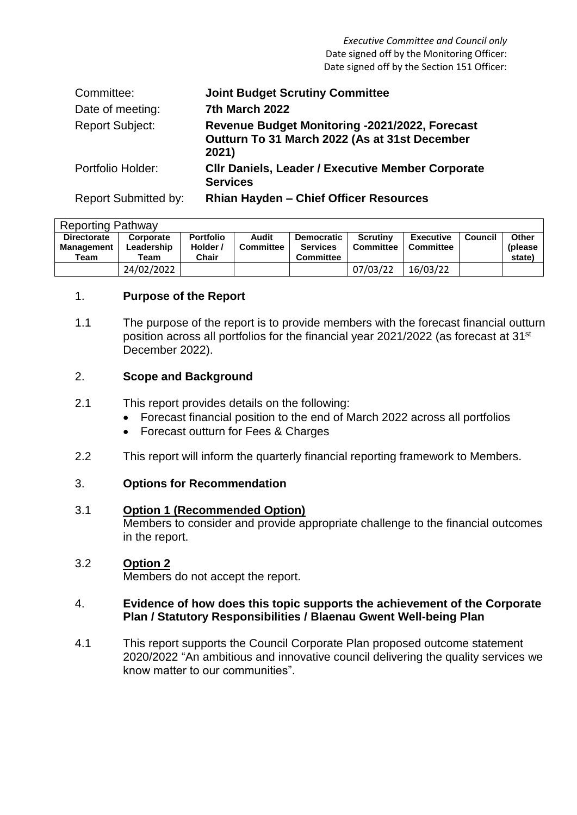*Executive Committee and Council only* Date signed off by the Monitoring Officer: Date signed off by the Section 151 Officer:

| Committee:                  | <b>Joint Budget Scrutiny Committee</b>                                                                   |
|-----------------------------|----------------------------------------------------------------------------------------------------------|
| Date of meeting:            | 7th March 2022                                                                                           |
| <b>Report Subject:</b>      | Revenue Budget Monitoring -2021/2022, Forecast<br>Outturn To 31 March 2022 (As at 31st December<br>2021) |
| Portfolio Holder:           | <b>CIIr Daniels, Leader / Executive Member Corporate</b><br><b>Services</b>                              |
| <b>Report Submitted by:</b> | Rhian Hayden - Chief Officer Resources                                                                   |

| <b>Reporting Pathway</b>                        |                                 |                                       |                           |                                                          |                              |                                      |         |                             |
|-------------------------------------------------|---------------------------------|---------------------------------------|---------------------------|----------------------------------------------------------|------------------------------|--------------------------------------|---------|-----------------------------|
| <b>Directorate</b><br><b>Management</b><br>Team | Corporate<br>Leadership<br>Team | <b>Portfolio</b><br>Holder /<br>Chair | Audit<br><b>Committee</b> | <b>Democratic</b><br><b>Services</b><br><b>Committee</b> | <b>Scrutiny</b><br>Committee | <b>Executive</b><br><b>Committee</b> | Council | Other<br>(please)<br>state) |
|                                                 | 24/02/2022                      |                                       |                           |                                                          | 07/03/22                     | 16/03/22                             |         |                             |

### 1. **Purpose of the Report**

1.1 The purpose of the report is to provide members with the forecast financial outturn position across all portfolios for the financial year 2021/2022 (as forecast at 31<sup>st</sup> December 2022).

### 2. **Scope and Background**

- 2.1 This report provides details on the following:
	- Forecast financial position to the end of March 2022 across all portfolios
	- Forecast outturn for Fees & Charges
- 2.2 This report will inform the quarterly financial reporting framework to Members.

### 3. **Options for Recommendation**

#### 3.1 **Option 1 (Recommended Option)**

Members to consider and provide appropriate challenge to the financial outcomes in the report.

#### 3.2 **Option 2**

Members do not accept the report.

#### 4. **Evidence of how does this topic supports the achievement of the Corporate Plan / Statutory Responsibilities / Blaenau Gwent Well-being Plan**

4.1 This report supports the Council Corporate Plan proposed outcome statement 2020/2022 "An ambitious and innovative council delivering the quality services we know matter to our communities".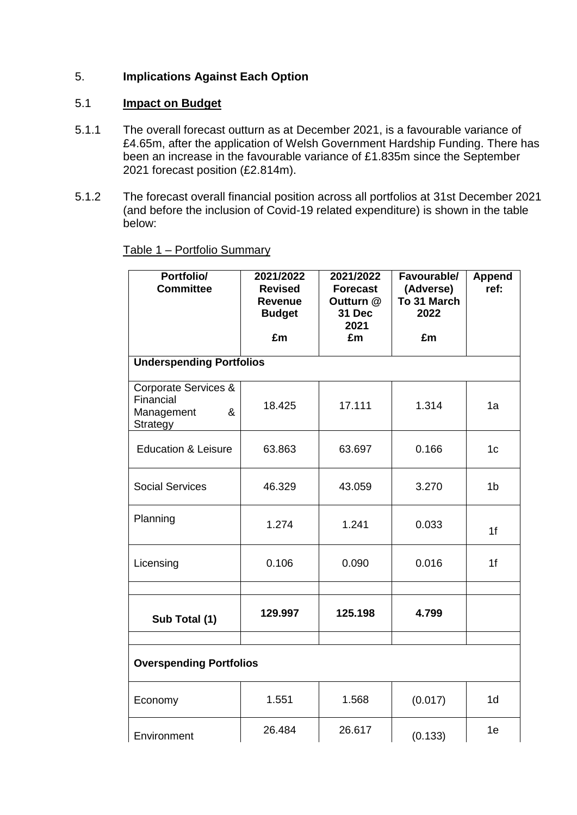# 5. **Implications Against Each Option**

# 5.1 **Impact on Budget**

- 5.1.1 The overall forecast outturn as at December 2021, is a favourable variance of £4.65m, after the application of Welsh Government Hardship Funding. There has been an increase in the favourable variance of £1.835m since the September 2021 forecast position (£2.814m).
- 5.1.2 The forecast overall financial position across all portfolios at 31st December 2021 (and before the inclusion of Covid-19 related expenditure) is shown in the table below:

| Portfolio/<br><b>Committee</b>                                          | 2021/2022<br><b>Revised</b><br><b>Revenue</b><br><b>Budget</b> | 2021/2022<br><b>Forecast</b><br>Outturn @<br>31 Dec<br>2021 | Favourable/<br>(Adverse)<br>To 31 March<br>2022 | <b>Append</b><br>ref: |  |
|-------------------------------------------------------------------------|----------------------------------------------------------------|-------------------------------------------------------------|-------------------------------------------------|-----------------------|--|
|                                                                         | £m                                                             | £m                                                          | £m                                              |                       |  |
| <b>Underspending Portfolios</b>                                         |                                                                |                                                             |                                                 |                       |  |
| Corporate Services &<br>Financial<br>Management<br>&<br><b>Strategy</b> | 18.425                                                         | 17.111                                                      | 1.314                                           | 1a                    |  |
| <b>Education &amp; Leisure</b>                                          | 63.863                                                         | 63.697                                                      | 0.166                                           | 1 <sub>c</sub>        |  |
| <b>Social Services</b>                                                  | 46.329                                                         | 43.059                                                      | 3.270                                           | 1 <sub>b</sub>        |  |
| Planning                                                                | 1.274                                                          | 1.241                                                       | 0.033                                           | 1 <sup>f</sup>        |  |
| Licensing                                                               | 0.106                                                          | 0.090                                                       | 0.016                                           | 1f                    |  |
|                                                                         |                                                                |                                                             |                                                 |                       |  |
| Sub Total (1)                                                           | 129.997                                                        | 125.198                                                     | 4.799                                           |                       |  |
| <b>Overspending Portfolios</b>                                          |                                                                |                                                             |                                                 |                       |  |
| Economy                                                                 | 1.551                                                          | 1.568                                                       | (0.017)                                         | 1 <sub>d</sub>        |  |
| Environment                                                             | 26.484                                                         | 26.617                                                      | (0.133)                                         | 1e                    |  |

Table 1 – Portfolio Summary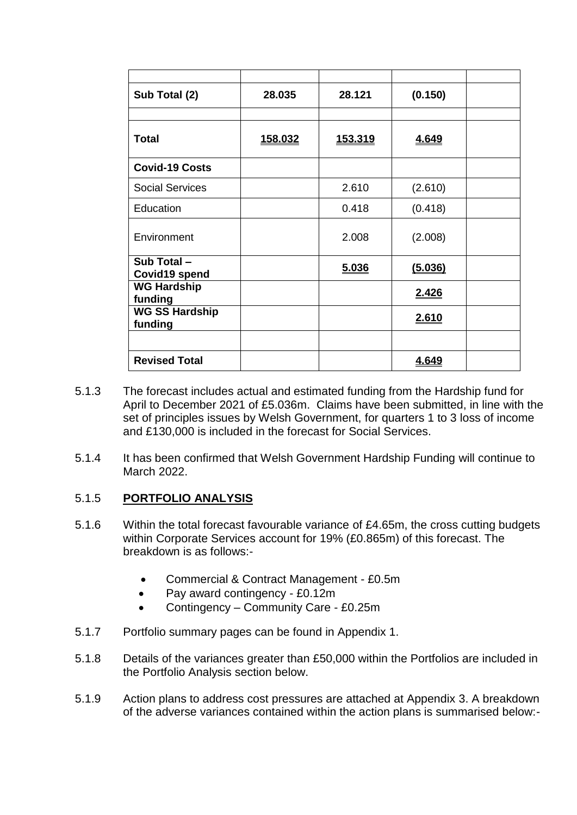| Sub Total (2)                    | 28.035         | 28.121         | (0.150)      |  |
|----------------------------------|----------------|----------------|--------------|--|
|                                  |                |                |              |  |
| <b>Total</b>                     | <u>158.032</u> | <u>153.319</u> | <u>4.649</u> |  |
| <b>Covid-19 Costs</b>            |                |                |              |  |
| <b>Social Services</b>           |                | 2.610          | (2.610)      |  |
| Education                        |                | 0.418          | (0.418)      |  |
| Environment                      |                | 2.008          | (2.008)      |  |
| Sub Total -<br>Covid19 spend     |                | 5.036          | (5.036)      |  |
| <b>WG Hardship</b><br>funding    |                |                | 2.426        |  |
| <b>WG SS Hardship</b><br>funding |                |                | <u>2.610</u> |  |
|                                  |                |                |              |  |
| <b>Revised Total</b>             |                |                | 4.649        |  |

- 5.1.3 The forecast includes actual and estimated funding from the Hardship fund for April to December 2021 of £5.036m. Claims have been submitted, in line with the set of principles issues by Welsh Government, for quarters 1 to 3 loss of income and £130,000 is included in the forecast for Social Services.
- 5.1.4 It has been confirmed that Welsh Government Hardship Funding will continue to March 2022.

# 5.1.5 **PORTFOLIO ANALYSIS**

- 5.1.6 Within the total forecast favourable variance of £4.65m, the cross cutting budgets within Corporate Services account for 19% (£0.865m) of this forecast. The breakdown is as follows:-
	- Commercial & Contract Management £0.5m
	- Pay award contingency £0.12m
	- Contingency Community Care £0.25m
- 5.1.7 Portfolio summary pages can be found in Appendix 1.
- 5.1.8 Details of the variances greater than £50,000 within the Portfolios are included in the Portfolio Analysis section below.
- 5.1.9 Action plans to address cost pressures are attached at Appendix 3. A breakdown of the adverse variances contained within the action plans is summarised below:-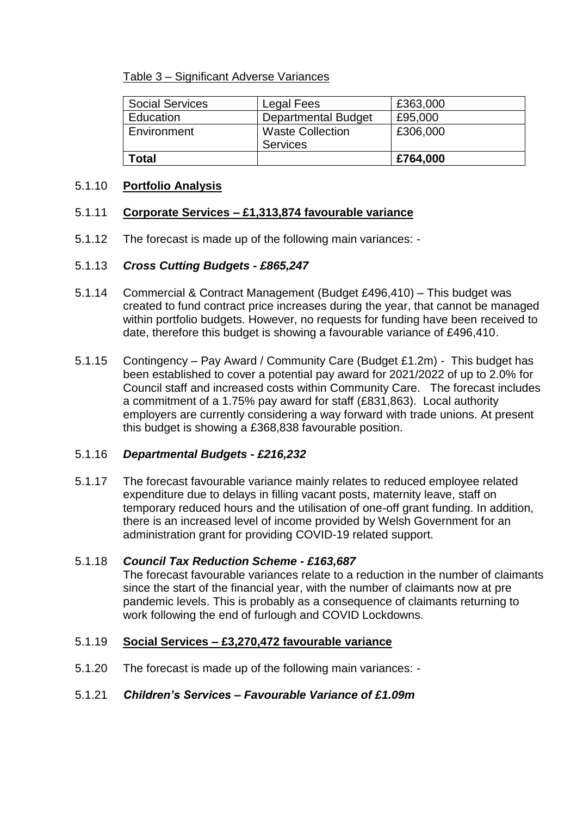Table 3 – Significant Adverse Variances

| <b>Social Services</b> | Legal Fees                 | £363,000 |
|------------------------|----------------------------|----------|
| Education              | <b>Departmental Budget</b> | £95,000  |
| Environment            | <b>Waste Collection</b>    | £306,000 |
|                        | <b>Services</b>            |          |
| Total                  |                            | £764,000 |

### 5.1.10 **Portfolio Analysis**

## 5.1.11 **Corporate Services – £1,313,874 favourable variance**

5.1.12 The forecast is made up of the following main variances: -

## 5.1.13 *Cross Cutting Budgets - £865,247*

- 5.1.14 Commercial & Contract Management (Budget £496,410) This budget was created to fund contract price increases during the year, that cannot be managed within portfolio budgets. However, no requests for funding have been received to date, therefore this budget is showing a favourable variance of £496,410.
- 5.1.15 Contingency Pay Award / Community Care (Budget £1.2m) This budget has been established to cover a potential pay award for 2021/2022 of up to 2.0% for Council staff and increased costs within Community Care. The forecast includes a commitment of a 1.75% pay award for staff (£831,863). Local authority employers are currently considering a way forward with trade unions. At present this budget is showing a £368,838 favourable position.

## 5.1.16 *Departmental Budgets - £216,232*

5.1.17 The forecast favourable variance mainly relates to reduced employee related expenditure due to delays in filling vacant posts, maternity leave, staff on temporary reduced hours and the utilisation of one-off grant funding. In addition, there is an increased level of income provided by Welsh Government for an administration grant for providing COVID-19 related support.

#### 5.1.18 *Council Tax Reduction Scheme - £163,687*

The forecast favourable variances relate to a reduction in the number of claimants since the start of the financial year, with the number of claimants now at pre pandemic levels. This is probably as a consequence of claimants returning to work following the end of furlough and COVID Lockdowns.

# 5.1.19 **Social Services – £3,270,472 favourable variance**

5.1.20 The forecast is made up of the following main variances: -

# 5.1.21 *Children's Services – Favourable Variance of £1.09m*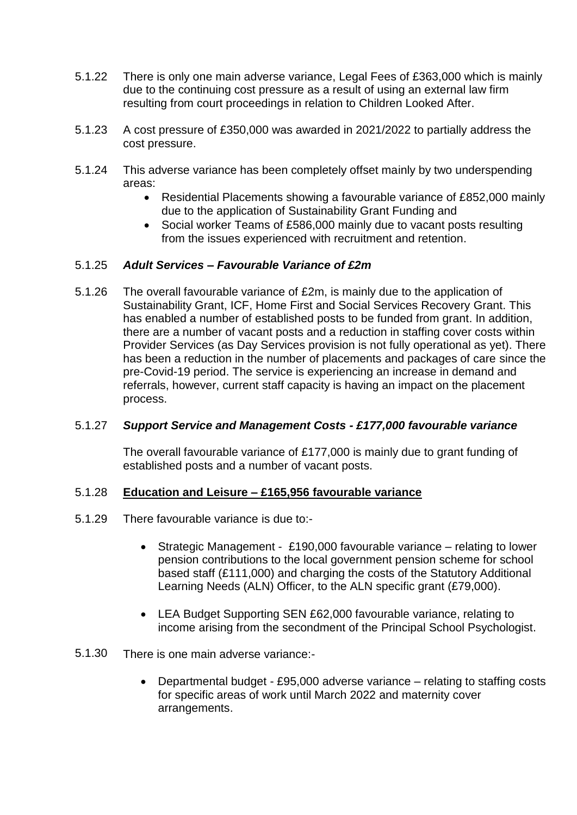- 5.1.22 There is only one main adverse variance, Legal Fees of £363,000 which is mainly due to the continuing cost pressure as a result of using an external law firm resulting from court proceedings in relation to Children Looked After.
- 5.1.23 A cost pressure of £350,000 was awarded in 2021/2022 to partially address the cost pressure.
- 5.1.24 This adverse variance has been completely offset mainly by two underspending areas:
	- Residential Placements showing a favourable variance of £852,000 mainly due to the application of Sustainability Grant Funding and
	- Social worker Teams of £586,000 mainly due to vacant posts resulting from the issues experienced with recruitment and retention.

### 5.1.25 *Adult Services – Favourable Variance of £2m*

5.1.26 The overall favourable variance of £2m, is mainly due to the application of Sustainability Grant, ICF, Home First and Social Services Recovery Grant. This has enabled a number of established posts to be funded from grant. In addition, there are a number of vacant posts and a reduction in staffing cover costs within Provider Services (as Day Services provision is not fully operational as yet). There has been a reduction in the number of placements and packages of care since the pre-Covid-19 period. The service is experiencing an increase in demand and referrals, however, current staff capacity is having an impact on the placement process.

#### 5.1.27 *Support Service and Management Costs - £177,000 favourable variance*

The overall favourable variance of £177,000 is mainly due to grant funding of established posts and a number of vacant posts.

### 5.1.28 **Education and Leisure – £165,956 favourable variance**

- 5.1.29 There favourable variance is due to:-
	- Strategic Management £190,000 favourable variance relating to lower pension contributions to the local government pension scheme for school based staff (£111,000) and charging the costs of the Statutory Additional Learning Needs (ALN) Officer, to the ALN specific grant (£79,000).
	- LEA Budget Supporting SEN £62,000 favourable variance, relating to income arising from the secondment of the Principal School Psychologist.
- 5.1.30 There is one main adverse variance:-
	- Departmental budget £95,000 adverse variance relating to staffing costs for specific areas of work until March 2022 and maternity cover arrangements.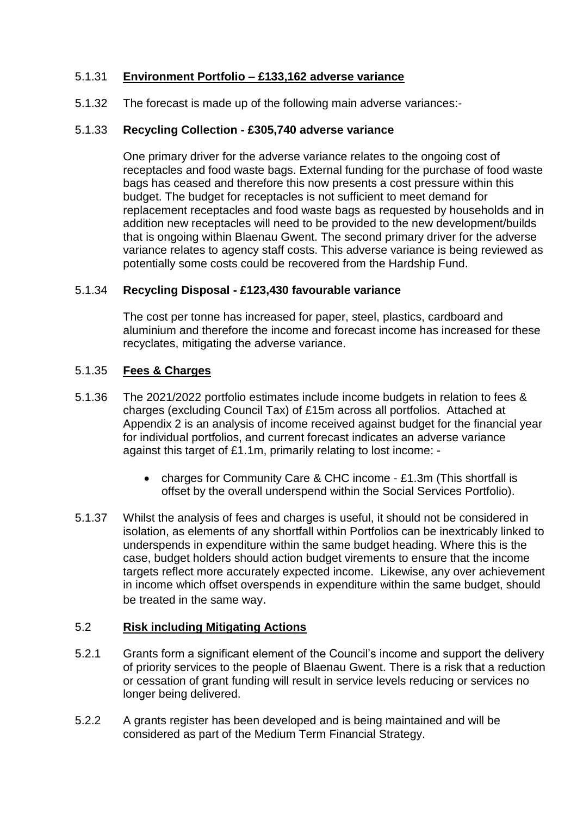# 5.1.31 **Environment Portfolio – £133,162 adverse variance**

5.1.32 The forecast is made up of the following main adverse variances:-

## 5.1.33 **Recycling Collection - £305,740 adverse variance**

One primary driver for the adverse variance relates to the ongoing cost of receptacles and food waste bags. External funding for the purchase of food waste bags has ceased and therefore this now presents a cost pressure within this budget. The budget for receptacles is not sufficient to meet demand for replacement receptacles and food waste bags as requested by households and in addition new receptacles will need to be provided to the new development/builds that is ongoing within Blaenau Gwent. The second primary driver for the adverse variance relates to agency staff costs. This adverse variance is being reviewed as potentially some costs could be recovered from the Hardship Fund.

## 5.1.34 **Recycling Disposal - £123,430 favourable variance**

The cost per tonne has increased for paper, steel, plastics, cardboard and aluminium and therefore the income and forecast income has increased for these recyclates, mitigating the adverse variance.

## 5.1.35 **Fees & Charges**

- 5.1.36 The 2021/2022 portfolio estimates include income budgets in relation to fees & charges (excluding Council Tax) of £15m across all portfolios. Attached at Appendix 2 is an analysis of income received against budget for the financial year for individual portfolios, and current forecast indicates an adverse variance against this target of £1.1m, primarily relating to lost income: -
	- charges for Community Care & CHC income £1.3m (This shortfall is offset by the overall underspend within the Social Services Portfolio).
- 5.1.37 Whilst the analysis of fees and charges is useful, it should not be considered in isolation, as elements of any shortfall within Portfolios can be inextricably linked to underspends in expenditure within the same budget heading. Where this is the case, budget holders should action budget virements to ensure that the income targets reflect more accurately expected income. Likewise, any over achievement in income which offset overspends in expenditure within the same budget, should be treated in the same way.

### 5.2 **Risk including Mitigating Actions**

- 5.2.1 Grants form a significant element of the Council's income and support the delivery of priority services to the people of Blaenau Gwent. There is a risk that a reduction or cessation of grant funding will result in service levels reducing or services no longer being delivered.
- 5.2.2 A grants register has been developed and is being maintained and will be considered as part of the Medium Term Financial Strategy.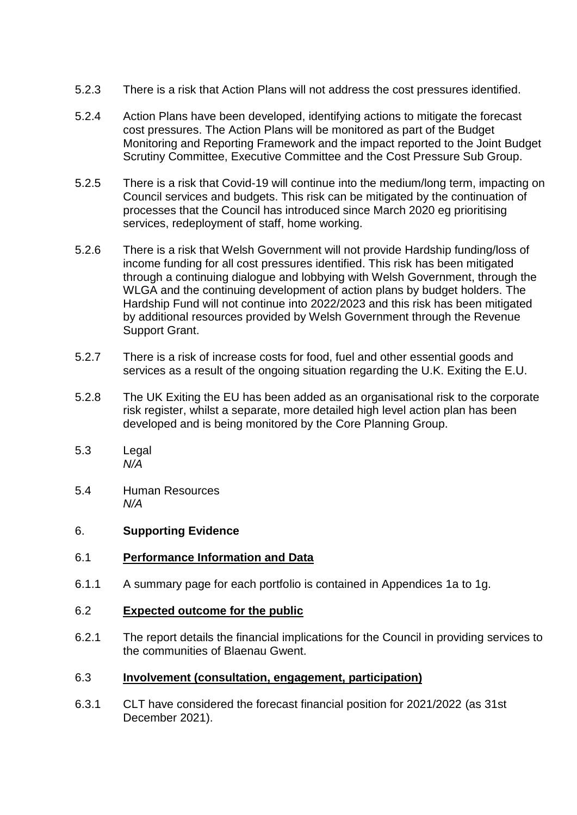- 5.2.3 There is a risk that Action Plans will not address the cost pressures identified.
- 5.2.4 Action Plans have been developed, identifying actions to mitigate the forecast cost pressures. The Action Plans will be monitored as part of the Budget Monitoring and Reporting Framework and the impact reported to the Joint Budget Scrutiny Committee, Executive Committee and the Cost Pressure Sub Group.
- 5.2.5 There is a risk that Covid-19 will continue into the medium/long term, impacting on Council services and budgets. This risk can be mitigated by the continuation of processes that the Council has introduced since March 2020 eg prioritising services, redeployment of staff, home working.
- 5.2.6 There is a risk that Welsh Government will not provide Hardship funding/loss of income funding for all cost pressures identified. This risk has been mitigated through a continuing dialogue and lobbying with Welsh Government, through the WLGA and the continuing development of action plans by budget holders. The Hardship Fund will not continue into 2022/2023 and this risk has been mitigated by additional resources provided by Welsh Government through the Revenue Support Grant.
- 5.2.7 There is a risk of increase costs for food, fuel and other essential goods and services as a result of the ongoing situation regarding the U.K. Exiting the E.U.
- 5.2.8 The UK Exiting the EU has been added as an organisational risk to the corporate risk register, whilst a separate, more detailed high level action plan has been developed and is being monitored by the Core Planning Group.
- 5.3 Legal *N/A*
- 5.4 Human Resources *N/A*

### 6. **Supporting Evidence**

- 6.1 **Performance Information and Data**
- 6.1.1 A summary page for each portfolio is contained in Appendices 1a to 1g.
- 6.2 **Expected outcome for the public**
- 6.2.1 The report details the financial implications for the Council in providing services to the communities of Blaenau Gwent.

#### 6.3 **Involvement (consultation, engagement, participation)**

6.3.1 CLT have considered the forecast financial position for 2021/2022 (as 31st December 2021).